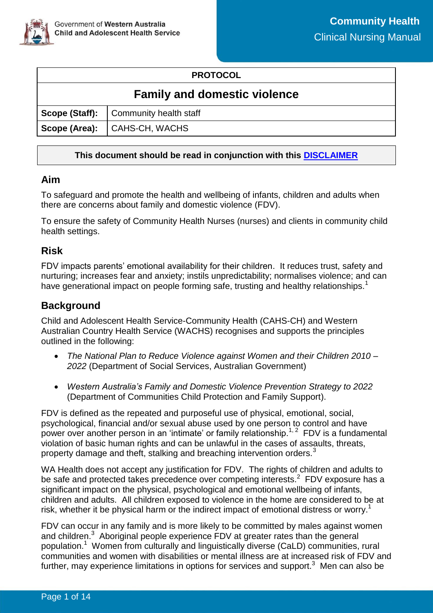

### **PROTOCOL**

# **Family and domestic violence**

| Scope (Staff):   Community health staff |
|-----------------------------------------|
| Scope (Area): CAHS-CH, WACHS            |

### **This document should be read in conjunction with this [DISCLAIMER](https://cahs.health.wa.gov.au/For-health-professionals/Resources/CAHS-Clinical-Disclaimer)**

### **Aim**

To safeguard and promote the health and wellbeing of infants, children and adults when there are concerns about family and domestic violence (FDV).

To ensure the safety of Community Health Nurses (nurses) and clients in community child health settings.

## **Risk**

FDV impacts parents' emotional availability for their children. It reduces trust, safety and nurturing; increases fear and anxiety; instils unpredictability; normalises violence; and can have generational impact on people forming safe, trusting and healthy relationships.<sup>1</sup>

# **Background**

Child and Adolescent Health Service-Community Health (CAHS-CH) and Western Australian Country Health Service (WACHS) recognises and supports the principles outlined in the following:

- *The National Plan to Reduce Violence against Women and their Children 2010 – 2022* (Department of Social Services, Australian Government)
- *Western Australia's Family and Domestic Violence Prevention Strategy to 2022* (Department of Communities Child Protection and Family Support).

FDV is defined as the repeated and purposeful use of physical, emotional, social, psychological, financial and/or sexual abuse used by one person to control and have power over another person in an 'intimate' or family relationship.<sup>1, 2</sup> FDV is a fundamental violation of basic human rights and can be unlawful in the cases of assaults, threats, property damage and theft, stalking and breaching intervention orders.<sup>3</sup>

WA Health does not accept any justification for FDV. The rights of children and adults to be safe and protected takes precedence over competing interests. $2$  FDV exposure has a significant impact on the physical, psychological and emotional wellbeing of infants, children and adults.All children exposed to violence in the home are considered to be at risk, whether it be physical harm or the indirect impact of emotional distress or worry.<sup>1</sup>

FDV can occur in any family and is more likely to be committed by males against women and children.<sup>3</sup> Aboriginal people experience FDV at greater rates than the general population.<sup>1</sup> Women from culturally and linguistically diverse (CaLD) communities, rural communities and women with disabilities or mental illness are at increased risk of FDV and further, may experience limitations in options for services and support.<sup>3</sup> Men can also be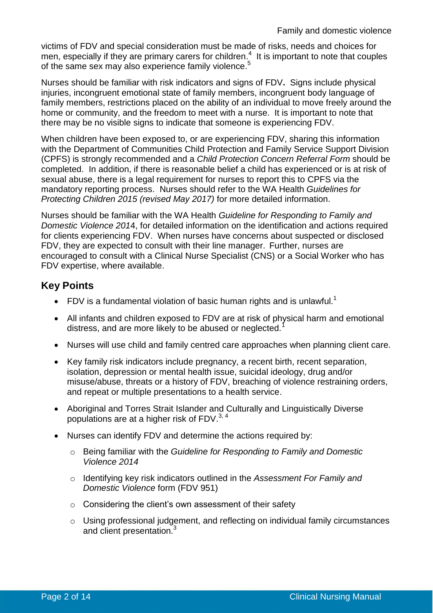victims of FDV and special consideration must be made of risks, needs and choices for men, especially if they are primary carers for children. $4$  It is important to note that couples of the same sex may also experience family violence.<sup>5</sup>

Nurses should be familiar with risk indicators and signs of FDV**.** Signs include physical injuries, incongruent emotional state of family members, incongruent body language of family members, restrictions placed on the ability of an individual to move freely around the home or community, and the freedom to meet with a nurse. It is important to note that there may be no visible signs to indicate that someone is experiencing FDV.

When children have been exposed to, or are experiencing FDV, sharing this information with the Department of Communities Child Protection and Family Service Support Division (CPFS) is strongly recommended and a *Child Protection Concern Referral Form* should be completed. In addition, if there is reasonable belief a child has experienced or is at risk of sexual abuse, there is a legal requirement for nurses to report this to CPFS via the mandatory reporting process. Nurses should refer to the WA Health *Guidelines for Protecting Children 2015 (revised May 2017)* for more detailed information.

Nurses should be familiar with the WA Health *Guideline for Responding to Family and Domestic Violence 201*4, for detailed information on the identification and actions required for clients experiencing FDV. When nurses have concerns about suspected or disclosed FDV, they are expected to consult with their line manager. Further, nurses are encouraged to consult with a Clinical Nurse Specialist (CNS) or a Social Worker who has FDV expertise, where available.

# **Key Points**

- FDV is a fundamental violation of basic human rights and is unlawful.<sup>1</sup>
- All infants and children exposed to FDV are at risk of physical harm and emotional distress, and are more likely to be abused or neglected.<sup>1</sup>
- Nurses will use child and family centred care approaches when planning client care.
- Key family risk indicators include pregnancy, a recent birth, recent separation, isolation, depression or mental health issue, suicidal ideology, drug and/or misuse/abuse, threats or a history of FDV, breaching of violence restraining orders, and repeat or multiple presentations to a health service.
- Aboriginal and Torres Strait Islander and Culturally and Linguistically Diverse populations are at a higher risk of  $FDV$ .<sup>3, 4</sup>
- Nurses can identify FDV and determine the actions required by:
	- o Being familiar with the *Guideline for Responding to Family and Domestic Violence 2014*
	- o Identifying key risk indicators outlined in the *Assessment For Family and Domestic Violence* form (FDV 951)
	- o Considering the client's own assessment of their safety
	- o Using professional judgement, and reflecting on individual family circumstances and client presentation.<sup>3</sup>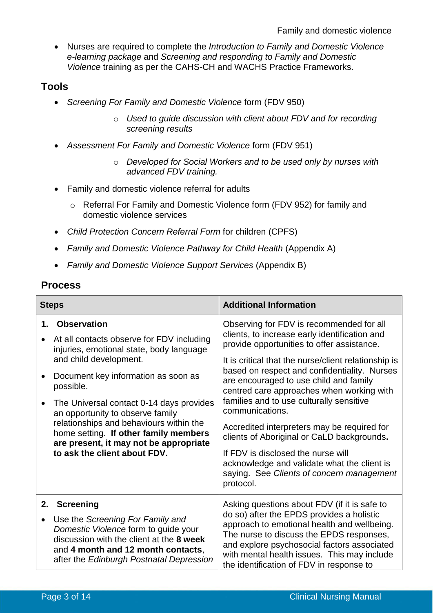Nurses are required to complete the *Introduction to Family and Domestic Violence e-learning package* and *Screening and responding to Family and Domestic Violence* training as per the CAHS-CH and WACHS Practice Frameworks.

## **Tools**

- *Screening For Family and Domestic Violence* form (FDV 950)
	- o *Used to guide discussion with client about FDV and for recording screening results*
- *Assessment For Family and Domestic Violence* form (FDV 951)
	- o *Developed for Social Workers and to be used only by nurses with advanced FDV training.*
- Family and domestic violence referral for adults
	- o Referral For Family and Domestic Violence form (FDV 952) for family and domestic violence services
- *Child Protection Concern Referral Form* for children (CPFS)
- *Family and Domestic Violence Pathway for Child Health* (Appendix A)
- *Family and Domestic Violence Support Services* (Appendix B)

### **Process**

| <b>Steps</b> |                                                                                                                                                                                                        | <b>Additional Information</b>                                                                                                                                                                                                                                                  |  |
|--------------|--------------------------------------------------------------------------------------------------------------------------------------------------------------------------------------------------------|--------------------------------------------------------------------------------------------------------------------------------------------------------------------------------------------------------------------------------------------------------------------------------|--|
| 1.           | <b>Observation</b><br>At all contacts observe for FDV including<br>injuries, emotional state, body language                                                                                            | Observing for FDV is recommended for all<br>clients, to increase early identification and<br>provide opportunities to offer assistance.                                                                                                                                        |  |
|              | and child development.<br>Document key information as soon as<br>possible.                                                                                                                             | It is critical that the nurse/client relationship is<br>based on respect and confidentiality. Nurses<br>are encouraged to use child and family<br>centred care approaches when working with<br>families and to use culturally sensitive<br>communications.                     |  |
|              | The Universal contact 0-14 days provides<br>an opportunity to observe family                                                                                                                           |                                                                                                                                                                                                                                                                                |  |
|              | relationships and behaviours within the<br>home setting. If other family members<br>are present, it may not be appropriate                                                                             | Accredited interpreters may be required for<br>clients of Aboriginal or CaLD backgrounds.                                                                                                                                                                                      |  |
|              | to ask the client about FDV.                                                                                                                                                                           | If FDV is disclosed the nurse will<br>acknowledge and validate what the client is<br>saying. See Clients of concern management<br>protocol.                                                                                                                                    |  |
| 2.           | <b>Screening</b>                                                                                                                                                                                       | Asking questions about FDV (if it is safe to                                                                                                                                                                                                                                   |  |
|              | Use the Screening For Family and<br>Domestic Violence form to guide your<br>discussion with the client at the 8 week<br>and 4 month and 12 month contacts,<br>after the Edinburgh Postnatal Depression | do so) after the EPDS provides a holistic<br>approach to emotional health and wellbeing.<br>The nurse to discuss the EPDS responses,<br>and explore psychosocial factors associated<br>with mental health issues. This may include<br>the identification of FDV in response to |  |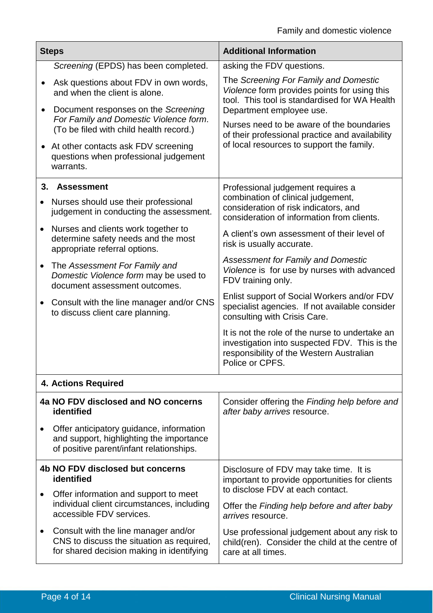| <b>Steps</b>           |                                                                                                                                                                                                                                                                                                                            | <b>Additional Information</b>                                                                                                                                                                                                                                                                                   |  |
|------------------------|----------------------------------------------------------------------------------------------------------------------------------------------------------------------------------------------------------------------------------------------------------------------------------------------------------------------------|-----------------------------------------------------------------------------------------------------------------------------------------------------------------------------------------------------------------------------------------------------------------------------------------------------------------|--|
|                        | Screening (EPDS) has been completed.                                                                                                                                                                                                                                                                                       | asking the FDV questions.                                                                                                                                                                                                                                                                                       |  |
| ٠<br>$\bullet$         | Ask questions about FDV in own words,<br>and when the client is alone.<br>Document responses on the Screening<br>For Family and Domestic Violence form.<br>(To be filed with child health record.)<br>At other contacts ask FDV screening<br>questions when professional judgement                                         | The Screening For Family and Domestic<br>Violence form provides points for using this<br>tool. This tool is standardised for WA Health<br>Department employee use.<br>Nurses need to be aware of the boundaries<br>of their professional practice and availability<br>of local resources to support the family. |  |
|                        | warrants.                                                                                                                                                                                                                                                                                                                  | Professional judgement requires a                                                                                                                                                                                                                                                                               |  |
| $\bullet$<br>$\bullet$ | 3. Assessment<br>Nurses should use their professional<br>judgement in conducting the assessment.<br>Nurses and clients work together to<br>determine safety needs and the most<br>appropriate referral options.<br>The Assessment For Family and<br>Domestic Violence form may be used to<br>document assessment outcomes. | combination of clinical judgement,<br>consideration of risk indicators, and<br>consideration of information from clients.                                                                                                                                                                                       |  |
|                        |                                                                                                                                                                                                                                                                                                                            | A client's own assessment of their level of<br>risk is usually accurate.                                                                                                                                                                                                                                        |  |
| $\bullet$              |                                                                                                                                                                                                                                                                                                                            | <b>Assessment for Family and Domestic</b><br>Violence is for use by nurses with advanced<br>FDV training only.                                                                                                                                                                                                  |  |
| $\bullet$              | Consult with the line manager and/or CNS<br>to discuss client care planning.                                                                                                                                                                                                                                               | Enlist support of Social Workers and/or FDV<br>specialist agencies. If not available consider<br>consulting with Crisis Care.                                                                                                                                                                                   |  |
|                        |                                                                                                                                                                                                                                                                                                                            | It is not the role of the nurse to undertake an<br>investigation into suspected FDV. This is the<br>responsibility of the Western Australian<br>Police or CPFS.                                                                                                                                                 |  |
|                        | <b>4. Actions Required</b>                                                                                                                                                                                                                                                                                                 |                                                                                                                                                                                                                                                                                                                 |  |
|                        | 4a NO FDV disclosed and NO concerns<br>identified                                                                                                                                                                                                                                                                          | Consider offering the Finding help before and<br>after baby arrives resource.                                                                                                                                                                                                                                   |  |
| ٠                      | Offer anticipatory guidance, information<br>and support, highlighting the importance<br>of positive parent/infant relationships.                                                                                                                                                                                           |                                                                                                                                                                                                                                                                                                                 |  |
|                        | 4b NO FDV disclosed but concerns<br>identified                                                                                                                                                                                                                                                                             | Disclosure of FDV may take time. It is<br>important to provide opportunities for clients<br>to disclose FDV at each contact.                                                                                                                                                                                    |  |
| $\bullet$              | Offer information and support to meet<br>individual client circumstances, including<br>accessible FDV services.                                                                                                                                                                                                            | Offer the Finding help before and after baby<br><i>arrives</i> resource.                                                                                                                                                                                                                                        |  |
| $\bullet$              | Consult with the line manager and/or<br>CNS to discuss the situation as required,<br>for shared decision making in identifying                                                                                                                                                                                             | Use professional judgement about any risk to<br>child(ren). Consider the child at the centre of<br>care at all times.                                                                                                                                                                                           |  |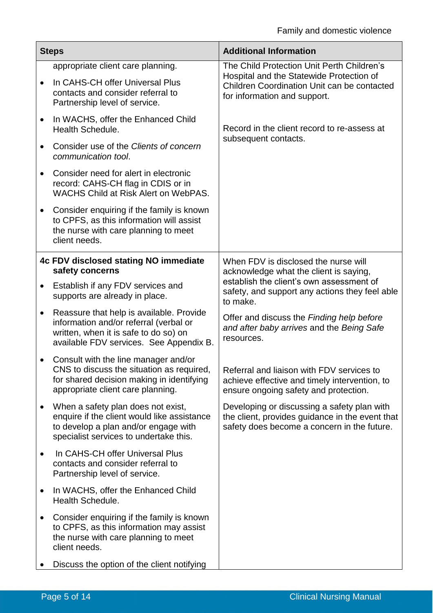| <b>Steps</b> |                                                                                                                                                                        | <b>Additional Information</b>                                                                                                                 |  |
|--------------|------------------------------------------------------------------------------------------------------------------------------------------------------------------------|-----------------------------------------------------------------------------------------------------------------------------------------------|--|
|              | appropriate client care planning.                                                                                                                                      | The Child Protection Unit Perth Children's                                                                                                    |  |
|              | In CAHS-CH offer Universal Plus<br>contacts and consider referral to<br>Partnership level of service.                                                                  | Hospital and the Statewide Protection of<br>Children Coordination Unit can be contacted<br>for information and support.                       |  |
| $\bullet$    | In WACHS, offer the Enhanced Child<br><b>Health Schedule.</b>                                                                                                          | Record in the client record to re-assess at                                                                                                   |  |
| $\bullet$    | Consider use of the Clients of concern<br>communication tool.                                                                                                          | subsequent contacts.                                                                                                                          |  |
|              | Consider need for alert in electronic<br>record: CAHS-CH flag in CDIS or in<br><b>WACHS Child at Risk Alert on WebPAS.</b>                                             |                                                                                                                                               |  |
|              | Consider enquiring if the family is known<br>to CPFS, as this information will assist<br>the nurse with care planning to meet<br>client needs.                         |                                                                                                                                               |  |
|              | 4c FDV disclosed stating NO immediate<br>safety concerns                                                                                                               | When FDV is disclosed the nurse will<br>acknowledge what the client is saying,                                                                |  |
| $\bullet$    | Establish if any FDV services and<br>supports are already in place.                                                                                                    | establish the client's own assessment of<br>safety, and support any actions they feel able<br>to make.                                        |  |
| ٠            | Reassure that help is available. Provide<br>information and/or referral (verbal or<br>written, when it is safe to do so) on<br>available FDV services. See Appendix B. | Offer and discuss the Finding help before<br>and after baby arrives and the Being Safe<br>resources.                                          |  |
|              | Consult with the line manager and/or<br>CNS to discuss the situation as required,<br>for shared decision making in identifying<br>appropriate client care planning.    | Referral and liaison with FDV services to<br>achieve effective and timely intervention, to<br>ensure ongoing safety and protection.           |  |
|              | When a safety plan does not exist,<br>enquire if the client would like assistance<br>to develop a plan and/or engage with<br>specialist services to undertake this.    | Developing or discussing a safety plan with<br>the client, provides guidance in the event that<br>safety does become a concern in the future. |  |
|              | In CAHS-CH offer Universal Plus<br>contacts and consider referral to<br>Partnership level of service.                                                                  |                                                                                                                                               |  |
| $\bullet$    | In WACHS, offer the Enhanced Child<br>Health Schedule.                                                                                                                 |                                                                                                                                               |  |
| $\bullet$    | Consider enquiring if the family is known<br>to CPFS, as this information may assist<br>the nurse with care planning to meet<br>client needs.                          |                                                                                                                                               |  |
|              | Discuss the option of the client notifying                                                                                                                             |                                                                                                                                               |  |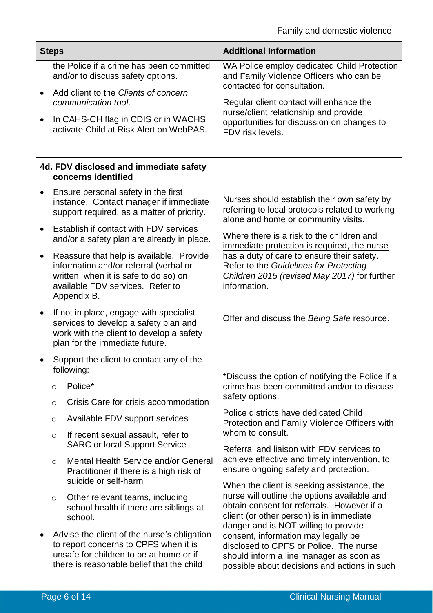| <b>Steps</b> |                                                                                                                                                                              |                                                                                                                                                                 | <b>Additional Information</b>                                                                                                                                                                                                |  |
|--------------|------------------------------------------------------------------------------------------------------------------------------------------------------------------------------|-----------------------------------------------------------------------------------------------------------------------------------------------------------------|------------------------------------------------------------------------------------------------------------------------------------------------------------------------------------------------------------------------------|--|
|              |                                                                                                                                                                              | the Police if a crime has been committed<br>and/or to discuss safety options.                                                                                   | WA Police employ dedicated Child Protection<br>and Family Violence Officers who can be<br>contacted for consultation.                                                                                                        |  |
| $\bullet$    | Add client to the Clients of concern<br>communication tool.                                                                                                                  |                                                                                                                                                                 | Regular client contact will enhance the                                                                                                                                                                                      |  |
| $\bullet$    |                                                                                                                                                                              | In CAHS-CH flag in CDIS or in WACHS<br>activate Child at Risk Alert on WebPAS.                                                                                  | nurse/client relationship and provide<br>opportunities for discussion on changes to<br>FDV risk levels.                                                                                                                      |  |
|              | 4d. FDV disclosed and immediate safety<br>concerns identified                                                                                                                |                                                                                                                                                                 |                                                                                                                                                                                                                              |  |
|              |                                                                                                                                                                              | Ensure personal safety in the first<br>instance. Contact manager if immediate<br>support required, as a matter of priority.                                     | Nurses should establish their own safety by<br>referring to local protocols related to working<br>alone and home or community visits.                                                                                        |  |
| $\bullet$    | Establish if contact with FDV services<br>and/or a safety plan are already in place.                                                                                         |                                                                                                                                                                 | Where there is a risk to the children and<br>immediate protection is required, the nurse                                                                                                                                     |  |
| $\bullet$    | Appendix B.                                                                                                                                                                  | Reassure that help is available. Provide<br>information and/or referral (verbal or<br>written, when it is safe to do so) on<br>available FDV services. Refer to | has a duty of care to ensure their safety.<br>Refer to the Guidelines for Protecting<br>Children 2015 (revised May 2017) for further<br>information.                                                                         |  |
| $\bullet$    | If not in place, engage with specialist<br>services to develop a safety plan and<br>work with the client to develop a safety<br>plan for the immediate future.               |                                                                                                                                                                 | Offer and discuss the Being Safe resource.                                                                                                                                                                                   |  |
|              | Support the client to contact any of the<br>following:                                                                                                                       |                                                                                                                                                                 |                                                                                                                                                                                                                              |  |
|              | Police*<br>$\circ$                                                                                                                                                           |                                                                                                                                                                 | *Discuss the option of notifying the Police if a<br>crime has been committed and/or to discuss                                                                                                                               |  |
|              | $\circ$                                                                                                                                                                      | Crisis Care for crisis accommodation                                                                                                                            | safety options.                                                                                                                                                                                                              |  |
|              | O                                                                                                                                                                            | Available FDV support services                                                                                                                                  | Police districts have dedicated Child<br>Protection and Family Violence Officers with                                                                                                                                        |  |
|              | $\circ$                                                                                                                                                                      | If recent sexual assault, refer to<br><b>SARC or local Support Service</b>                                                                                      | whom to consult.<br>Referral and liaison with FDV services to                                                                                                                                                                |  |
|              | $\circ$                                                                                                                                                                      | Mental Health Service and/or General<br>Practitioner if there is a high risk of<br>suicide or self-harm                                                         | achieve effective and timely intervention, to<br>ensure ongoing safety and protection.                                                                                                                                       |  |
|              | $\circ$<br>school.                                                                                                                                                           | Other relevant teams, including<br>school health if there are siblings at                                                                                       | When the client is seeking assistance, the<br>nurse will outline the options available and<br>obtain consent for referrals. However if a<br>client (or other person) is in immediate<br>danger and is NOT willing to provide |  |
| ٠            | Advise the client of the nurse's obligation<br>to report concerns to CPFS when it is<br>unsafe for children to be at home or if<br>there is reasonable belief that the child |                                                                                                                                                                 | consent, information may legally be<br>disclosed to CPFS or Police. The nurse<br>should inform a line manager as soon as<br>possible about decisions and actions in such                                                     |  |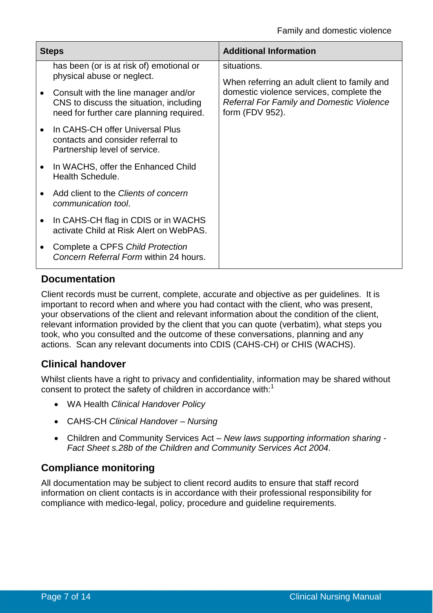| <b>Steps</b> |                                                                                                                                                                                                       | <b>Additional Information</b>                                                                                                                                           |  |
|--------------|-------------------------------------------------------------------------------------------------------------------------------------------------------------------------------------------------------|-------------------------------------------------------------------------------------------------------------------------------------------------------------------------|--|
|              | has been (or is at risk of) emotional or<br>physical abuse or neglect.<br>Consult with the line manager and/or<br>CNS to discuss the situation, including<br>need for further care planning required. | situations.<br>When referring an adult client to family and<br>domestic violence services, complete the<br>Referral For Family and Domestic Violence<br>form (FDV 952). |  |
|              | In CAHS-CH offer Universal Plus<br>contacts and consider referral to<br>Partnership level of service.                                                                                                 |                                                                                                                                                                         |  |
|              | In WACHS, offer the Enhanced Child<br>Health Schedule.                                                                                                                                                |                                                                                                                                                                         |  |
|              | Add client to the Clients of concern<br>communication tool.                                                                                                                                           |                                                                                                                                                                         |  |
|              | In CAHS-CH flag in CDIS or in WACHS<br>activate Child at Risk Alert on WebPAS.                                                                                                                        |                                                                                                                                                                         |  |
|              | Complete a CPFS Child Protection<br>Concern Referral Form within 24 hours.                                                                                                                            |                                                                                                                                                                         |  |

## **Documentation**

Client records must be current, complete, accurate and objective as per guidelines. It is important to record when and where you had contact with the client, who was present, your observations of the client and relevant information about the condition of the client, relevant information provided by the client that you can quote (verbatim), what steps you took, who you consulted and the outcome of these conversations, planning and any actions. Scan any relevant documents into CDIS (CAHS-CH) or CHIS (WACHS).

# **Clinical handover**

Whilst clients have a right to privacy and confidentiality, information may be shared without consent to protect the safety of children in accordance with: $1$ 

- WA Health *Clinical Handover Policy*
- CAHS-CH *Clinical Handover Nursing*
- Children and Community Services Act *New laws supporting information sharing Fact Sheet s.28b of the Children and Community Services Act 2004.*

## **Compliance monitoring**

All documentation may be subject to client record audits to ensure that staff record information on client contacts is in accordance with their professional responsibility for compliance with medico-legal, policy, procedure and guideline requirements.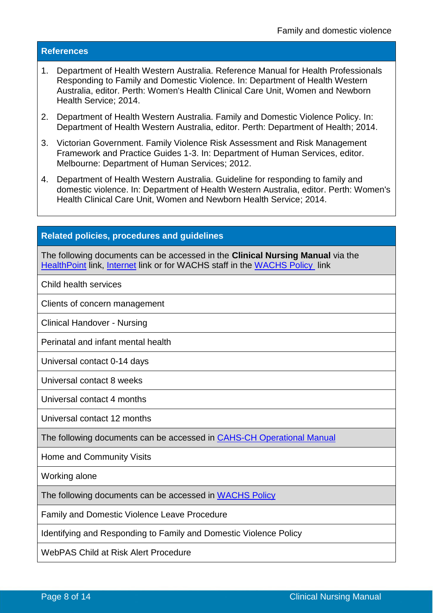#### **References**

- 1. Department of Health Western Australia. Reference Manual for Health Professionals Responding to Family and Domestic Violence. In: Department of Health Western Australia, editor. Perth: Women's Health Clinical Care Unit, Women and Newborn Health Service; 2014.
- 2. Department of Health Western Australia. Family and Domestic Violence Policy. In: Department of Health Western Australia, editor. Perth: Department of Health; 2014.
- 3. Victorian Government. Family Violence Risk Assessment and Risk Management Framework and Practice Guides 1-3. In: Department of Human Services, editor. Melbourne: Department of Human Services; 2012.
- 4. Department of Health Western Australia. Guideline for responding to family and domestic violence. In: Department of Health Western Australia, editor. Perth: Women's Health Clinical Care Unit, Women and Newborn Health Service; 2014.

#### **Related policies, procedures and guidelines**

The following documents can be accessed in the **Clinical Nursing Manual** via the [HealthPoint](https://healthpoint.hdwa.health.wa.gov.au/policies/Pages/CACH-Community-Health.aspx) link, [Internet](https://ww2.health.wa.gov.au/About-us/Child-and-Adolescent-Health-Service/Child-and-Adolescent-Community-Health/Professional-resources/Community-Health-Clinical-Nursing-Manual) link or for WACHS staff in the [WACHS Policy](https://healthpoint.hdwa.health.wa.gov.au/policies/Pages/WACHS%20Policy%20Pages/WACHS-Policies.aspx) link

Child health services

Clients of concern management

Clinical Handover - Nursing

Perinatal and infant mental health

Universal contact 0-14 days

Universal contact 8 weeks

Universal contact 4 months

Universal contact 12 months

The following documents can be accessed in [CAHS-CH Operational Manual](https://healthpoint.hdwa.health.wa.gov.au/policies/Pages/CACH-Operational-Policies.aspx)

Home and Community Visits

Working alone

The following documents can be accessed in WACHS Policy

Family and Domestic Violence Leave Procedure

Identifying and Responding to Family and Domestic Violence Policy

WebPAS Child at Risk Alert Procedure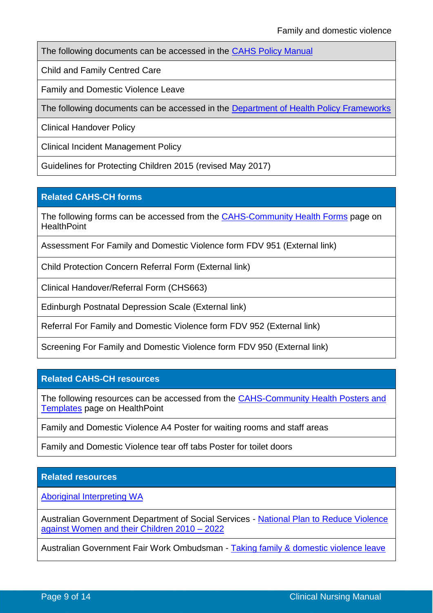The following documents can be accessed in the [CAHS Policy Manual](https://healthpoint.hdwa.health.wa.gov.au/policies/Pages/CAHS-Policies-Corporate.aspx)

Child and Family Centred Care

Family and Domestic Violence Leave

The following documents can be accessed in the [Department of Health Policy Frameworks](https://ww2.health.wa.gov.au/About-us/Policy-Frameworks)

Clinical Handover Policy

Clinical Incident Management Policy

Guidelines for Protecting Children 2015 (revised May 2017)

#### **Related CAHS-CH forms**

The following forms can be accessed from the [CAHS-Community Health Forms](https://cahs-healthpoint.hdwa.health.wa.gov.au/cach/forms/Pages/default.aspx) page on **HealthPoint** 

Assessment For Family and Domestic Violence form FDV 951 (External link)

Child Protection Concern Referral Form (External link)

Clinical Handover/Referral Form (CHS663)

Edinburgh Postnatal Depression Scale (External link)

Referral For Family and Domestic Violence form FDV 952 (External link)

Screening For Family and Domestic Violence form FDV 950 (External link)

#### **Related CAHS-CH resources**

The following resources can be accessed from the [CAHS-Community Health Posters and](https://cahs-healthpoint.hdwa.health.wa.gov.au/cach/resources/Pages/Posters.aspx)  [Templates](https://cahs-healthpoint.hdwa.health.wa.gov.au/cach/resources/Pages/Posters.aspx) page on HealthPoint

Family and Domestic Violence A4 Poster for waiting rooms and staff areas

Family and Domestic Violence tear off tabs Poster for toilet doors

#### **Related resources**

[Aboriginal Interpreting WA](http://aiwaac.org.au/)

Australian Government Department of Social Services - [National Plan to Reduce Violence](https://www.dss.gov.au/women/programs-services/reducing-violence/the-national-plan-to-reduce-violence-against-women-and-their-children-2010-2022)  [against Women and their Children 2010 –](https://www.dss.gov.au/women/programs-services/reducing-violence/the-national-plan-to-reduce-violence-against-women-and-their-children-2010-2022) 2022

Australian Government Fair Work Ombudsman - Taking family & domestic violence leave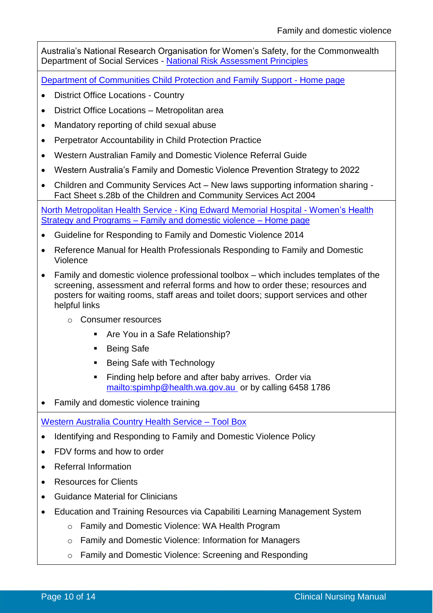Australia's National Research Organisation for Women's Safety, for the Commonwealth Department of Social Services - [National Risk Assessment Principles](https://d2rn9gno7zhxqg.cloudfront.net/wp-content/uploads/2018/07/19030421/ANROWS_NRAP_National-Risk-Assessment-Principles.1.pdf)

[Department of Communities Child Protection and Family Support](https://www.dcp.wa.gov.au/Pages/Home.aspx) - Home page

- District Office Locations Country
- District Office Locations Metropolitan area
- Mandatory reporting of child sexual abuse
- Perpetrator Accountability in Child Protection Practice
- Western Australian Family and Domestic Violence Referral Guide
- Western Australia's Family and Domestic Violence Prevention Strategy to 2022
- Children and Community Services Act New laws supporting information sharing Fact Sheet s.28b of the Children and Community Services Act 2004

[North Metropolitan Health Service -](https://www.kemh.health.wa.gov.au/Our-services/Statewide-Services/Womens-Health-Strategy-and-Programs/Family-and-domestic-violence) King Edward Memorial Hospital - Women's Health Strategy and Programs – [Family and domestic violence –](https://www.kemh.health.wa.gov.au/Our-services/Statewide-Services/Womens-Health-Strategy-and-Programs/Family-and-domestic-violence) Home page

- Guideline for Responding to Family and Domestic Violence 2014
- Reference Manual for Health Professionals Responding to Family and Domestic Violence
- Family and domestic violence professional toolbox which includes templates of the screening, assessment and referral forms and how to order these; resources and posters for waiting rooms, staff areas and toilet doors; support services and other helpful links
	- o Consumer resources
		- **Are You in a Safe Relationship?**
		- **Being Safe**
		- **Being Safe with Technology**
		- Finding help before and after baby arrives. Order via <mailto:spimhp@health.wa.gov.au> or by calling 6458 1786
- Family and domestic violence training

[Western Australia Country Health Service –](http://wachs.hdwa.health.wa.gov.au/index.php?id=17351) Tool Box

- Identifying and Responding to Family and Domestic Violence Policy
- FDV forms and how to order
- Referral Information
- Resources for Clients
- Guidance Material for Clinicians
- Education and Training Resources via Capabiliti Learning Management System
	- o Family and Domestic Violence: WA Health Program
	- o Family and Domestic Violence: Information for Managers
	- o Family and Domestic Violence: Screening and Responding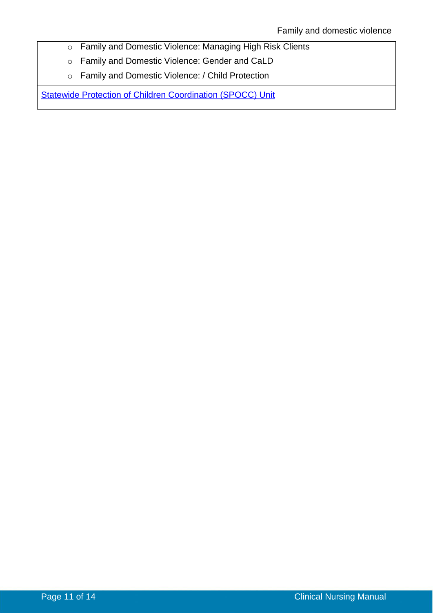- o Family and Domestic Violence: Managing High Risk Clients
- o Family and Domestic Violence: Gender and CaLD
- o Family and Domestic Violence: / Child Protection

[Statewide Protection of Children Coordination \(SPOCC\) Unit](https://ww2.health.wa.gov.au/Articles/A_E/About-child-abuse-and-neglect)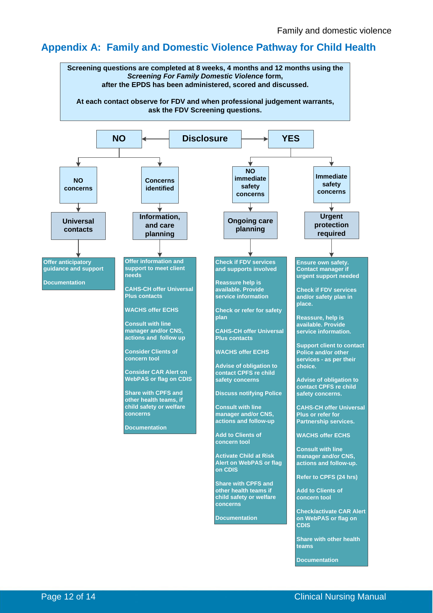## **Appendix A: Family and Domestic Violence Pathway for Child Health**



**Share with other health teams**

**Documentation**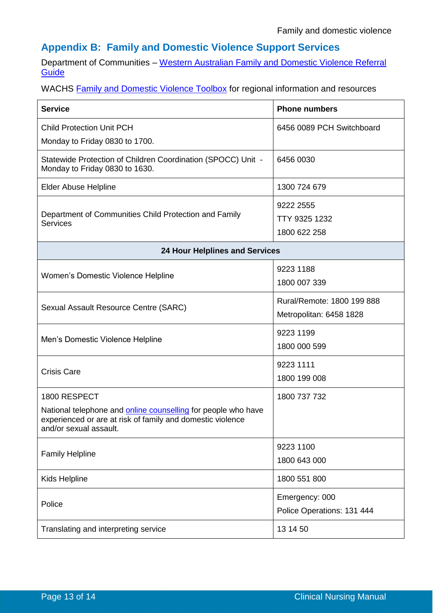# **Appendix B: Family and Domestic Violence Support Services**

Department of Communities – [Western Australian Family and Domestic Violence Referral](http://www.dcp.wa.gov.au/CrisisAndEmergency/FDV/Documents/Referral%20Guide%20June%202016.pdf)  **[Guide](http://www.dcp.wa.gov.au/CrisisAndEmergency/FDV/Documents/Referral%20Guide%20June%202016.pdf)** 

WACHS **Family and Domestic Violence Toolbox** for regional information and resources

| <b>Service</b>                                                                                                                                        | <b>Phone numbers</b>       |  |  |
|-------------------------------------------------------------------------------------------------------------------------------------------------------|----------------------------|--|--|
| <b>Child Protection Unit PCH</b>                                                                                                                      | 6456 0089 PCH Switchboard  |  |  |
| Monday to Friday 0830 to 1700.                                                                                                                        |                            |  |  |
| Statewide Protection of Children Coordination (SPOCC) Unit -<br>Monday to Friday 0830 to 1630.                                                        | 6456 0030                  |  |  |
| <b>Elder Abuse Helpline</b>                                                                                                                           | 1300 724 679               |  |  |
|                                                                                                                                                       | 9222 2555                  |  |  |
| Department of Communities Child Protection and Family<br>Services                                                                                     | TTY 9325 1232              |  |  |
|                                                                                                                                                       | 1800 622 258               |  |  |
| <b>24 Hour Helplines and Services</b>                                                                                                                 |                            |  |  |
|                                                                                                                                                       | 9223 1188                  |  |  |
| Women's Domestic Violence Helpline                                                                                                                    | 1800 007 339               |  |  |
|                                                                                                                                                       | Rural/Remote: 1800 199 888 |  |  |
| Sexual Assault Resource Centre (SARC)                                                                                                                 | Metropolitan: 6458 1828    |  |  |
|                                                                                                                                                       | 9223 1199                  |  |  |
| Men's Domestic Violence Helpline                                                                                                                      | 1800 000 599               |  |  |
| <b>Crisis Care</b>                                                                                                                                    | 9223 1111                  |  |  |
|                                                                                                                                                       | 1800 199 008               |  |  |
| 1800 RESPECT                                                                                                                                          | 1800 737 732               |  |  |
| National telephone and online counselling for people who have<br>experienced or are at risk of family and domestic violence<br>and/or sexual assault. |                            |  |  |
|                                                                                                                                                       | 9223 1100                  |  |  |
| <b>Family Helpline</b>                                                                                                                                | 1800 643 000               |  |  |
| Kids Helpline                                                                                                                                         | 1800 551 800               |  |  |
| Police                                                                                                                                                | Emergency: 000             |  |  |
|                                                                                                                                                       | Police Operations: 131 444 |  |  |
| Translating and interpreting service                                                                                                                  | 13 14 50                   |  |  |